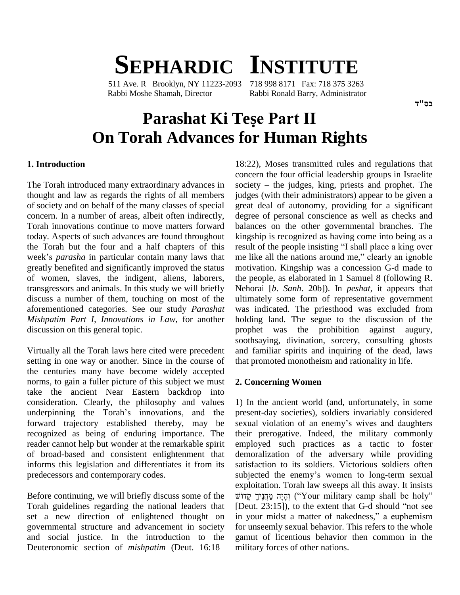# **SEPHARDIC INSTITUTE**<br>11 Ave. R Brooklyn. NY 11223-2093 718 998 8171 Fax: 718 375 3263

511 Ave. R Brooklyn, NY 11223-2093 Rabbi Moshe Shamah, Director Rabbi Ronald Barry, Administrator

# **Parashat Ki Tese Part II On Torah Advances for Human Rights**

#### **1. Introduction**

thought and law as regards the rights of all members of society and on behalf of the many classes of special concern. In a number of areas, albeit often indirectly, Torah innovations continue to move matters forward today. Aspects of such advances are found throughout the Torah but the four and a half chapters of this result of the people insisting "I shall place a king over week's *parasha* in particular contain many laws that me like all the nations around me," clearly an ignoble greatly benefited and significantly improved the status of women, slaves, the indigent, aliens, laborers, transgressors and animals. In this study we will briefly discuss a number of them, touching on most of the aforementioned categories. See our study *Parashat Mishpatim Part I, Innovations in Law*, for another discussion on this general topic.

Virtually all the Torah laws here cited were precedent setting in one way or another. Since in the course of the centuries many have become widely accepted norms, to gain a fuller picture of this subject we must take the ancient Near Eastern backdrop into consideration. Clearly, the philosophy and values underpinning the Torah's innovations, and the forward trajectory established thereby, may be sexual violation of an enemy's wives and daughters recognized as being of enduring importance. The reader cannot help but wonder at the remarkable spirit of broad-based and consistent enlightenment that informs this legislation and differentiates it from its predecessors and contemporary codes.

Before continuing, we will briefly discuss some of the וְהָיָה מַחֲנָיךָ קְדוֹשׁ ("Your military camp shall be holy")<br>Torah guidelines regarding the national leaders that [Deut. 23:15]), to the extent that G-d should "not Torah guidelines regarding the national leaders that set a new direction of enlightened thought on in your midst a matter of nakedness," a euphemism governmental structure and advancement in society for un and social justice. In the introduction to the gamut Deuteronomic section of *mishpatim* (Deut. 16:18– militar and social justice. In the introduction to the

The Torah introduced many extraordinary advances in society – the judges, king, priests and prophet. The 18:22), Moses transmitted rules and regulations that concern the four official leadership groups in Israelite society – the judges, king, priests and prophet. The concern the four official leadership groups in Israelite judges (with their administrators) appear to be given a great deal of autonomy, providing for a significant degree of personal conscience as well as checks and balances on the other governmental branches. The kingship is recognized as having come into being as a result of the people insisting "I shall place a king over kingship is recognized as having come into being as a<br>result of the people insisting "I shall place a king over<br>me like all the nations around me," clearly an ignoble motivation. Kingship was a concession G-d made to the people, as elaborated in 1 Samuel 8 (following R. Nehorai [*b*. *Sanh*. 20b]). In *peshat*, it appears that ultimately some form of representative government was indicated. The priesthood was excluded from holding land. The segue to the discussion of the prophet was the prohibition against augury, soothsaying, divination, sorcery, consulting ghosts and familiar spirits and inquiring of the dead, laws that promoted monotheism and rationality in life.

#### **2. Concerning Women**

1) In the ancient world (and, unfortunately, in some<br>present-day societies), soldiers invariably considered<br>sexual violation of an enemy's wives and daughters present-day societies), soldiers invariably considered their prerogative. Indeed, the military commonly employed such practices as a tactic to foster demoralization of the adversary while providing satisfaction to its soldiers. Victorious soldiers often demoralization of the adversary while providing<br>satisfaction to its soldiers. Victorious soldiers often<br>subjected the enemy's women to long-term sexual exploitation. Torah law sweeps all this away. It insists cted the enemy's women to long-term sexual<br>itation. Torah law sweeps all this away. It insists<br>יְהָיָה מַחֲנֵיךָ (''Your military camp shall be holy'' exploitation. Torah law sweeps all this away. It insists<br>הָיָה מַחֲנֶיךָ קְדוֹשׁ (''Your military camp shall be holy''<br>[Deut. 23:15]), to the extent that G-d should ''not see וְהָיָה מַחֲנֶיךָ קְדוֹשׁ ("Your military camp shall be holy"<br>[Deut. 23:15]), to the extent that G-d should "not see<br>in your midst a matter of nakedness," a euphemism for unseemly sexual behavior. This refers to the whole gamut of licentious behavior then common in the military forces of other nations.

בם"ד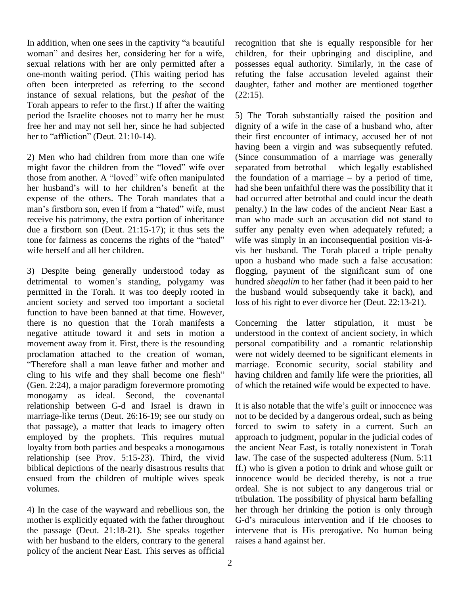In addition, when one sees in the captivity "a beautiful" woman" and desires her, considering her for a wife, sexual relations with her are only permitted after a one-month waiting period. (This waiting period has often been interpreted as referring to the second instance of sexual relations, but the *peshat* of the Torah appears to refer to the first.) If after the waiting period the Israelite chooses not to marry her he must 5)<br>free her and may not sell her, since he had subjected di<br>her to "affliction" (Deut. 21:10-14). free her and may not sell her, since he had subjected

2) Men who had children from more than one wife (Sinc hav<br>2) Men who had children from more than one wife (Si<br>2) might favor the children from the "loved" wife over sep 2) Men who had children from more than one wife (Since might favor the children from the "loved" wife over separathose from another. A "loved" wife often manipulated the fo might favor the children from the "loved" wife over separe<br>those from another. A "loved" wife often manipulated the function<br>her husband's will to her children's benefit at the had s expense of the others. The Torah mandates that a her husband's will to her children's benefit at the has expense of the others. The Torah mandates that a haman's firstborn son, even if from a "hated" wife, must per receive his patrimony, the extra portion of inheritance man due a firstborn son (Deut. 21:15-17); it thus sets the suffer tone for fairness as concerns the rights of the "hated" wife due a firstborn son (Deut. 21:15-17); it thus sets the wife herself and all her children.

3) Despite being generally understood today as detrimental to women's standing, polygamy was permitted in the Torah. It was too deeply rooted in ancient society and served too important a societal function to have been banned at that time. However, there is no question that the Torah manifests a negative attitude toward it and sets in motion a movement away from it. First, there is the resounding movement away from it. First, there is the resounding persor proclamation attached to the creation of woman, were in "Therefore shall a man leave father and mother and marria proclamation attached to the creation of woman, were<br>"Therefore shall a man leave father and mother and marri<br>cling to his wife and they shall become one flesh" havir (Gen. 2:24), a major paradigm forevermore promoting monogamy as ideal. Second, the covenantal relationship between G-d and Israel is drawn in It is also notable that the wife's guilt or innocence was marriage-like terms (Deut. 26:16-19; see our study on that passage), a matter that leads to imagery often employed by the prophets. This requires mutual loyalty from both parties and bespeaks a monogamous relationship (see Prov. 5:15-23). Third, the vivid biblical depictions of the nearly disastrous results that ensued from the children of multiple wives speak volumes.

4) In the case of the wayward and rebellious son, the mother is explicitly equated with the father throughout G-d's miraculous intervention and if He chooses to the passage (Deut. 21:18-21). She speaks together with her husband to the elders, contrary to the general policy of the ancient Near East. This serves as official

recognition that she is equally responsible for her children, for their upbringing and discipline, and possesses equal authority. Similarly, in the case of refuting the false accusation leveled against their daughter, father and mother are mentioned together (22:15).

5) The Torah substantially raised the position and dignity of a wife in the case of a husband who, after their first encounter of intimacy, accused her of not having been a virgin and was subsequently refuted. (Since consummation of a marriage was generally having been a virgin and was subsequently refuted.<br>(Since consummation of a marriage was generally separated from betrothal – which legally established (Since consummation of a marriage was generally separated from betrothal – which legally established the foundation of a marriage – by a period of time, had she been unfaithful there was the possibility that it had occurred after betrothal and could incur the death penalty.) In the law codes of the ancient Near East a man who made such an accusation did not stand to suffer any penalty even when adequately refuted; a wife was simply in an inconsequential position vis-àsuffer any penalty even when adequately refuted; a vis her husband. The Torah placed a triple penalty upon a husband who made such a false accusation: flogging, payment of the significant sum of one hundred *sheqalim* to her father (had it been paid to her the husband would subsequently take it back), and loss of his right to ever divorce her (Deut. 22:13-21).

Concerning the latter stipulation, it must be understood in the context of ancient society, in which personal compatibility and a romantic relationship were not widely deemed to be significant elements in marriage. Economic security, social stability and having children and family life were the priorities, all of which the retained wife would be expected to have.<br>It is also notable that the wife's guilt or innocence was

not to be decided by a dangerous ordeal, such as being forced to swim to safety in a current. Such an approach to judgment, popular in the judicial codes of the ancient Near East, is totally nonexistent in Torah law. The case of the suspected adulteress (Num. 5:11 ff.) who is given a potion to drink and whose guilt or innocence would be decided thereby, is not a true ordeal. She is not subject to any dangerous trial or tribulation. The possibility of physical harm befalling<br>her through her drinking the potion is only through<br>G-d's miraculous intervention and if He chooses to her through her drinking the potion is only through intervene that is His prerogative. No human being raises a hand against her.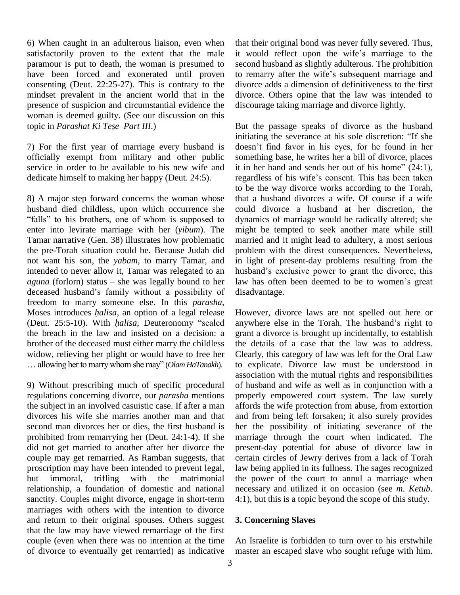6) When caught in an adulterous liaison, even when satisfactorily proven to the extent that the male paramour is put to death, the woman is presumed to have been forced and exonerated until proven to remarry after the wife's subsequent marriage and consenting (Deut. 22:25-27). This is contrary to the mindset prevalent in the ancient world that in the presence of suspicion and circumstantial evidence the disco<br>woman is deemed guilty. (See our discussion on this<br>topic in *Parashat Ki Tese Part III*.) But woman is deemed guilty. (See our discussion on this

7) For the first year of marriage every husband is officially exempt from military and other public service in order to be available to his new wife and dedicate himself to making her happy (Deut. 24:5).

8) A major step forward concerns the woman whose that a husband died childless, upon which occurrence she "falls" to his brothers, one of whom is supposed to enter into levirate marriage with her (*yibum*). The Tamar narrative (Gen. 38) illustrates how problematic the pre-Torah situation could be. Because Judah did not want his son, the *yabam*, to marry Tamar, and intended to never allow it, Tamar was relegated to an *aguna* (forlorn) status – she was legally bound to her law has often been deemed to be to women's great intended to never allow it, Tamar was relegated to an hus<br>aguna (forlorn) status – she was legally bound to her law<br>deceased husband's family without a possibility of dis freedom to marry someone else. In this *parasha*,<br>Moses introduces *halisa*, an option of a legal release Howe<br>(Deut. 25:5-10). With *halisa*, Deuteronomy "sealed anywh deceased husband's family without a possibility of disad freedom to marry someone else. In this *parasha*, Moses introduces *halisa*, an option of a legal release Howe the breach in the law and insisted on a decision: a brother of the deceased must either marry the childless the widow, relieving her plight or would have to free her Clea widow, relieving her plight or would have to free her ... allowing her to marry whom she may" (*Olam HaTanakh*).

9) Without prescribing much of specific procedural regulations concerning divorce, our *parasha* mentions the subject in an involved casuistic case. If after a man divorces his wife she marries another man and that second man divorces her or dies, the first husband is prohibited from remarrying her (Deut. 24:1-4). If she did not get married to another after her divorce the couple may get remarried. As Ramban suggests, that proscription may have been intended to prevent legal, but immoral, trifling with the matrimonial relationship, a foundation of domestic and national sanctity. Couples might divorce, engage in short-term marriages with others with the intention to divorce and return to their original spouses. Others suggest that the law may have viewed remarriage of the first couple (even when there was no intention at the time of divorce to eventually get remarried) as indicative that their original bond was never fully severed. Thus, it would reflect upon the wife's marriage to the second husband as slightly adulterous. The prohibition it would reflect upon the wife's marriage to the second husband as slightly adulterous. The prohibition to remarry after the wife's subsequent marriage and divorce adds a dimension of definitiveness to the first divorce. Others opine that the law was intended to discourage taking marriage and divorce lightly.

But the passage speaks of divorce as the husband But the passage speaks of divorce as the husband<br>initiating the severance at his sole discretion: "If she But the passage speaks of divorce as the husband<br>initiating the severance at his sole discretion: "If she<br>doesn't find favor in his eyes, for he found in her something base, he writes her a bill of divorce, places doesn't find favor in his eyes, for he found in her something base, he writes her a bill of divorce, places it in her hand and sends her out of his home" (24:1), something base, he writes her a bill of divorce, places<br>it in her hand and sends her out of his home" (24:1),<br>regardless of his wife's consent. This has been taken to be the way divorce works according to the Torah, that a husband divorces a wife. Of course if a wife could divorce a husband at her discretion, the dynamics of marriage would be radically altered; she might be tempted to seek another mate while still married and it might lead to adultery, a most serious problem with the direst consequences. Nevertheless, in light of present-day problems resulting from the problem with the direst consequences. Nevertheless,<br>in light of present-day problems resulting from the<br>husband's exclusive power to grant the divorce, this in light of present-day problems resulting from the husband's exclusive power to grant the divorce, this law has often been deemed to be to women's great disadvantage.

However, divorce laws are not spelled out here or However, divorce laws are not spelled out here or<br>anywhere else in the Torah. The husband's right to grant a divorce is brought up incidentally, to establish the details of a case that the law was to address. Clearly, this category of law was left for the Oral Law to explicate. Divorce law must be understood in association with the mutual rights and responsibilities of husband and wife as well as in conjunction with a properly empowered court system. The law surely affords the wife protection from abuse, from extortion and from being left forsaken; it also surely provides her the possibility of initiating severance of the marriage through the court when indicated. The present-day potential for abuse of divorce law in certain circles of Jewry derives from a lack of Torah law being applied in its fullness. The sages recognized the power of the court to annul a marriage when necessary and utilized it on occasion (see *m*. *Ketub*. 4:1), but this is a topic beyond the scope of this study.

#### **3. Concerning Slaves**

An Israelite is forbidden to turn over to his erstwhile master an escaped slave who sought refuge with him.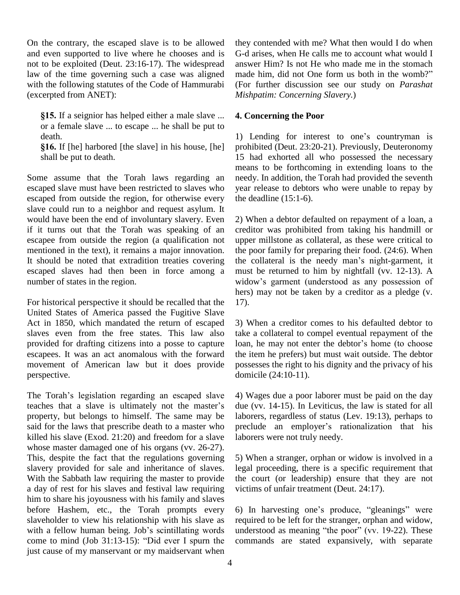On the contrary, the escaped slave is to be allowed and even supported to live where he chooses and is not to be exploited (Deut. 23:16-17). The widespread law of the time governing such a case was aligned with the following statutes of the Code of Hammurabi (excerpted from ANET):

 If a seignior has helped either a male slave ... or a female slave ... to escape ... he shall be put to death. **1**) Le

 If [he] harbored [the slave] in his house, [he] shall be put to death.

Some assume that the Torah laws regarding an escaped slave must have been restricted to slaves who escaped from outside the region, for otherwise every slave could run to a neighbor and request asylum. It would have been the end of involuntary slavery. Even if it turns out that the Torah was speaking of an escapee from outside the region (a qualification not mentioned in the text), it remains a major innovation. It should be noted that extradition treaties covering escaped slaves had then been in force among a number of states in the region.

For historical perspective it should be recalled that the United States of America passed the Fugitive Slave Act in 1850, which mandated the return of escaped slaves even from the free states. This law also provided for drafting citizens into a posse to capture loan, he may not enter the debtor's home (to choose escapees. It was an act anomalous with the forward movement of American law but it does provide perspective. perspective. domi<br>The Torah's legislation regarding an escaped slave 4) W

The Torah's legislation regarding an escaped slave 4) V<br>teaches that a slave is ultimately not the master's due property, but belongs to himself. The same may be said for the laws that prescribe death to a master who killed his slave (Exod. 21:20) and freedom for a slave whose master damaged one of his organs (vv. 26-27). This, despite the fact that the regulations governing slavery provided for sale and inheritance of slaves. With the Sabbath law requiring the master to provide a day of rest for his slaves and festival law requiring him to share his joyousness with his family and slaves before Hashem, etc., the Torah prompts every slaveholder to view his relationship with his slave as requ before Hashem, etc., the Torah prompts every 6) I<br>slaveholder to view his relationship with his slave as requ<br>with a fellow human being. Job's scintillating words unde slaveholder to view his relationship with his slave as requi<br>with a fellow human being. Job's scintillating words under<br>come to mind (Job 31:13-15): "Did ever I spurn the comm just cause of my manservant or my maidservant when

they contended with me? What then would I do when G-d arises, when He calls me to account what would I answer Him? Is not He who made me in the stomach made him, did not One form us both in the womb?" (For further discussion see our study on *Parashat Mishpatim: Concerning Slavery.*)

#### **4. Concerning the Poor**

1) Lending for interest to one's countryman is prohibited (Deut. 23:20-21). Previously, Deuteronomy 15 had exhorted allwho possessed the necessary means to be forthcoming in extending loans to the needy. In addition, the Torah had provided the seventh year release to debtors who were unable to repay by the deadline (15:1-6).

2) When a debtor defaulted on repayment of a loan, a creditor was prohibited from taking his handmill or upper millstone as collateral, as these were critical to the poor family for preparing their food. (24:6). When the collateral is the needy man's night-garment, it must be returned to him by nightfall (vv. 12-13). A the collateral is the needy man's night-garment, it<br>must be returned to him by nightfall (vv. 12-13). A<br>widow's garment (understood as any possession of hers) may not be taken by a creditor as a pledge (v. 17).

3) When a creditor comes to his defaulted debtor to loan, he may notenter the debtorís home (to choose take a collateral to compel eventual repayment of the the item he prefers) but must wait outside. The debtor possesses the right to his dignity and the privacy of his domicile (24:10-11).

4) Wages due a poor laborer must be paid on the day due (vv. 14-15). In Leviticus, the law is stated for all laborers, regardless of status (Lev. 19:13), perhaps to preclude an employer's rationalization that his laborers were not truly needy.

5) When a stranger, orphan or widow is involved in a legal proceeding, there is a specific requirement that the court (or leadership) ensure that they are not victims of unfair treatment (Deut. 24:17).

6) In harvesting one's produce, "gleanings" were required to be left for the stranger, orphan and widow, 6) In harvesting one's produce, "gleanings" were required to be left for the stranger, orphan and widow, understood as meaning "the poor" (vv. 19-22). These commands are stated expansively, with separate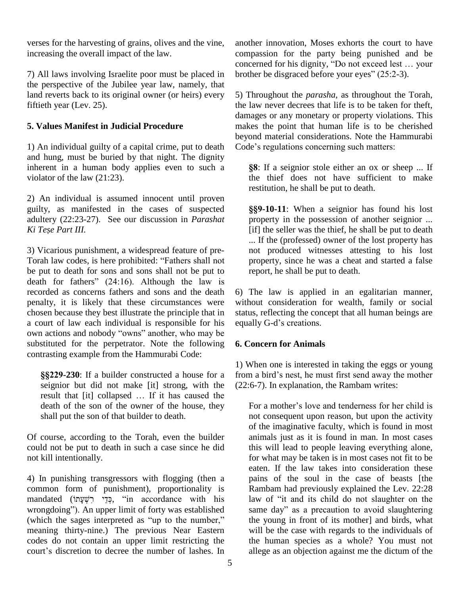verses for the harvesting of grains, olives and the vine, increasing the overall impact of the law.

7) All laws involving Israelite poor must be placed in the perspective of the Jubilee year law, namely, that land reverts back to its original owner (or heirs) every fiftieth year (Lev. 25).

# **5. Values Manifest in Judicial Procedure**

1) An individual guilty of a capital crime, put to death and hung, must be buried by that night. The dignity inherent in a human body applies even to such a violator of the law (21:23).<br>2) An individual is assumed innocent until proven

guilty, as manifested in the cases of suspected adultery (22:23-27). See our discussion in *Parashat Reguilty, as manifest Readultery (22:23-27).*<br>*Ki Tese Part III.* 

3) Vicarious punishment, a widespread feature of pre- Torah law codes, is here prohibited: "Fathers shall not be put to death for sons and sons shall not be put to death for fathers"  $(24:16)$ . Although the law is recorded as concerns fathers and sons and the death penalty, it is likely that these circumstances were chosen because they best illustrate the principle that in a court of law each individual is responsible for his own actions and nobody "owns" another, who may be substituted for the perpetrator. Note the following contrasting example from the Hammurabi Code:

**-230**: If a builder constructed a house for a seignior but did not make [it] strong, with the result that [it] collapsed ... If it has caused the death of the son of the owner of the house, they shall put the son of that builder to death.

Of course, according to the Torah, even the builder could not be put to death in such a case since he did not kill intentionally.

4) In punishing transgressors with flogging (then a common form of punishment), proportionality is 4) In punishing transgressors with flogging (then a<br>common form of punishment), proportionality is l<br>mandated (דְּי יִשְׁעָּתוֹ, "in accordance with his l ommon form of punishment), proportionality is<br>mandated (מִינֵי רִשְׁעָתוֹ), "in accordance with his law<br>wrongdoing"). An upper limit of forty was established sai his ta mandated (in the sages interpreted as "up to the number,"<br>
wrongdoing"). An upper limit of forty was established said (which the sages interpreted as "up to the number," meaning thirty-nine.) The previous Near Eastern wiscodes do not contain an upper limit restricting the the court's discretion to decree the number of lashes. In codes do not contain an upper limit restricting the

another innovation, Moses exhorts the court to have compassion for the party being punished and be another innovation, Moses exhorts the court to have<br>compassion for the party being punished and be<br>concerned for his dignity, "Do not exceed lest ... your compassion for the party being punished and l<br>concerned for his dignity, "Do not exceed lest ... yo<br>brother be disgraced before your eyes" (25:2-3).

5) Throughout the *parasha*, as throughout the Torah, the law never decrees that life is to be taken for theft, damages or any monetary or property violations. This makes the point that human life is to be cherished beyond material considerations. Note the Hammurabi makes the point that human life is to be cher<br>beyond material considerations. Note the Hamm<br>Code's regulations concerning such matters: Code's regulations concerning such matters:

**88**: If a seignior stole either an ox or sheep ... If the thief does not have sufficient to make restitution, he shall be put to death.

**-10-11**: When a seignior has found his lost property in the possession of another seignior ... [if] the seller was the thief, he shall be put to death ... If the (professed) owner of the lost property has not produced witnesses attesting to his lost property, since he was a cheat and started a false report, he shall be put to death.

6) The law is applied in an egalitarian manner, without consideration for wealth, family or social status, reflecting the concept that all human beings are equally G-d's creations. status, reflecting the concept that all human beings are

# **6. Concern for Animals**

1) When one is interested in taking the eggs or young from a bird's nest, he must first send away the mother (22:6-7). In explanation, the Rambam writes:

For a mother's love and tenderness for her child is not consequent upon reason, but upon the activity of the imaginative faculty, which is found in most animals just as it is found in man. In most cases this will lead to people leaving everything alone, for what may be taken is in most cases not fit to be eaten. If the law takes into consideration these pains of the soul in the case of beasts [the Rambam had previously explained the Lev. 22:28 law of "it and its child do not slaughter on the same day" as a precaution to avoid slaughtering the young in front of its mother] and birds, what will be the case with regards to the individuals of the human species as a whole? You must not allege as an objection against me the dictum of the